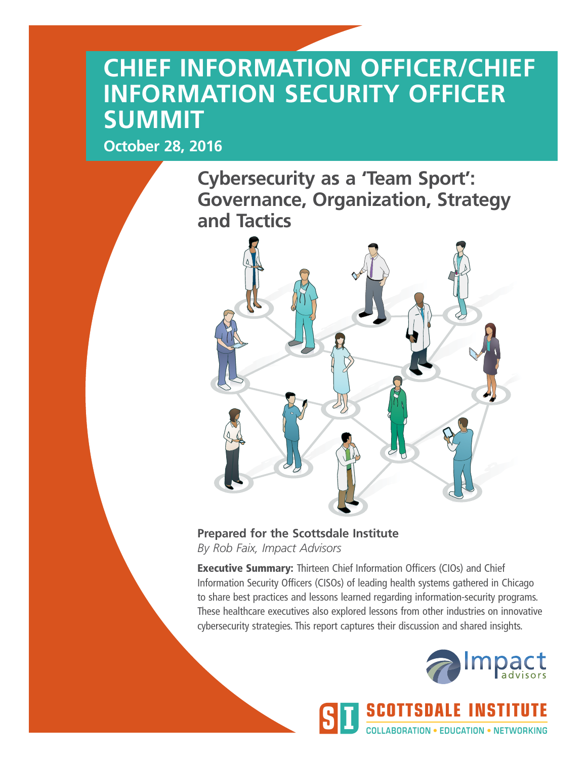## **CHIEF INFORMATION OFFICER/CHIEF INFORMATION SECURITY OFFICER SUMMIT**

**October 28, 2016**

**Cybersecurity as a 'Team Sport': Governance, Organization, Strategy and Tactics**



### **Prepared for the Scottsdale Institute** *By Rob Faix, Impact Advisors*

**Executive Summary:** Thirteen Chief Information Officers (CIOs) and Chief Information Security Officers (CISOs) of leading health systems gathered in Chicago to share best practices and lessons learned regarding information-security programs. These healthcare executives also explored lessons from other industries on innovative cybersecurity strategies. This report captures their discussion and shared insights.



**[SCOTTSDALE INSTITU](http://www.scottsdaleinstitute.org/)TE S I** COLLABORATION • EDUCATION • NETWORKING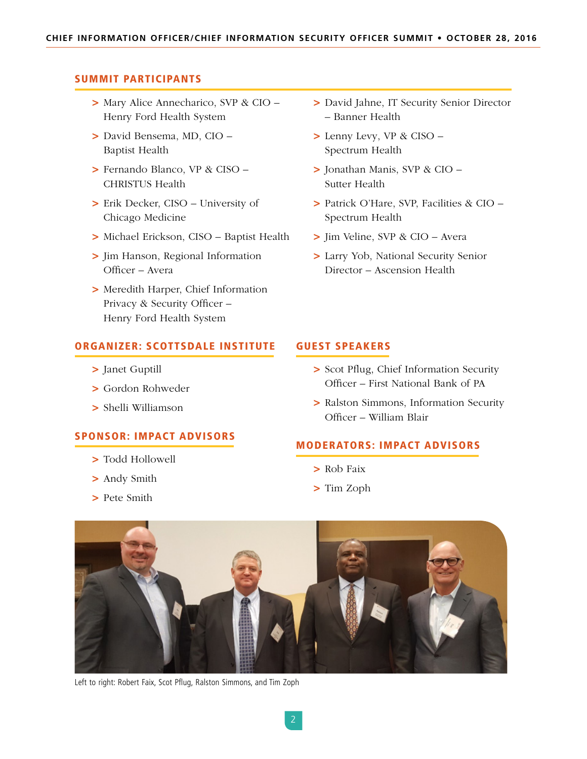### SUMMIT PARTICIPANTS

- **>** Mary Alice Annecharico, SVP & CIO Henry Ford Health System
- **>** David Bensema, MD, CIO Baptist Health
- **>** Fernando Blanco, VP & CISO CHRISTUS Health
- **>** Erik Decker, CISO University of Chicago Medicine
- **>** Michael Erickson, CISO Baptist Health
- **>** Jim Hanson, Regional Information Officer – Avera
- **>** Meredith Harper, Chief Information Privacy & Security Officer – Henry Ford Health System

### ORGANIZER: SCOTTSDALE INSTITUTE

- **>** Janet Guptill
- **>** Gordon Rohweder
- **>** Shelli Williamson

### SPONSOR: IMPACT ADVISORS

- **>** Todd Hollowell
- **>** Andy Smith
- **>** Pete Smith
- **>** David Jahne, IT Security Senior Director – Banner Health
- **>** Lenny Levy, VP & CISO Spectrum Health
- **>** Jonathan Manis, SVP & CIO Sutter Health
- **>** Patrick O'Hare, SVP, Facilities & CIO Spectrum Health
- **>** Jim Veline, SVP & CIO Avera
- **>** Larry Yob, National Security Senior Director – Ascension Health

### GUEST SPEAKERS

- **>** Scot Pflug, Chief Information Security Officer – First National Bank of PA
- **>** Ralston Simmons, Information Security Officer – William Blair

### MODERATORS: IMPACT ADVISORS

- **>** Rob Faix
- **>** Tim Zoph



Left to right: Robert Faix, Scot Pflug, Ralston Simmons, and Tim Zoph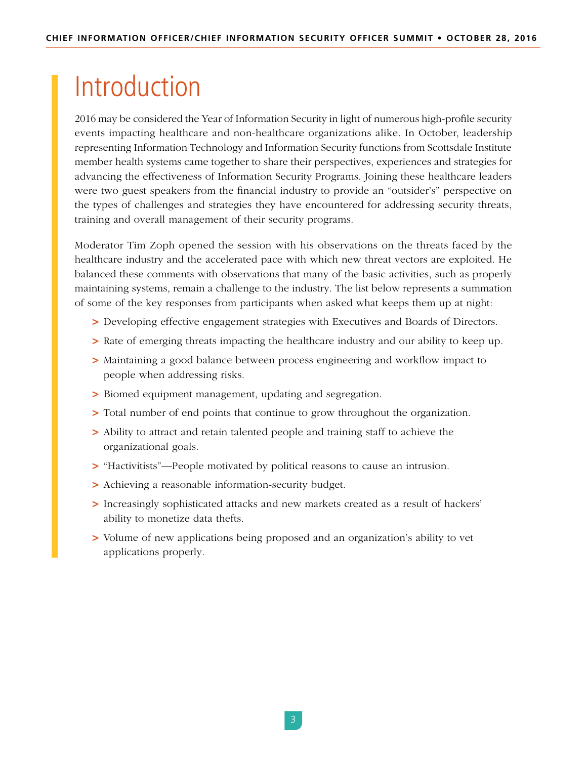## Introduction

2016 may be considered the Year of Information Security in light of numerous high-profile security events impacting healthcare and non-healthcare organizations alike. In October, leadership representing Information Technology and Information Security functions from Scottsdale Institute member health systems came together to share their perspectives, experiences and strategies for advancing the effectiveness of Information Security Programs. Joining these healthcare leaders were two guest speakers from the financial industry to provide an "outsider's" perspective on the types of challenges and strategies they have encountered for addressing security threats, training and overall management of their security programs.

Moderator Tim Zoph opened the session with his observations on the threats faced by the healthcare industry and the accelerated pace with which new threat vectors are exploited. He balanced these comments with observations that many of the basic activities, such as properly maintaining systems, remain a challenge to the industry. The list below represents a summation of some of the key responses from participants when asked what keeps them up at night:

- **>** Developing effective engagement strategies with Executives and Boards of Directors.
- **>** Rate of emerging threats impacting the healthcare industry and our ability to keep up.
- **>** Maintaining a good balance between process engineering and workflow impact to people when addressing risks.
- **>** Biomed equipment management, updating and segregation.
- **>** Total number of end points that continue to grow throughout the organization.
- **>** Ability to attract and retain talented people and training staff to achieve the organizational goals.
- **>** "Hactivitists"—People motivated by political reasons to cause an intrusion.
- **>** Achieving a reasonable information-security budget.
- **>** Increasingly sophisticated attacks and new markets created as a result of hackers' ability to monetize data thefts.
- **>** Volume of new applications being proposed and an organization's ability to vet applications properly.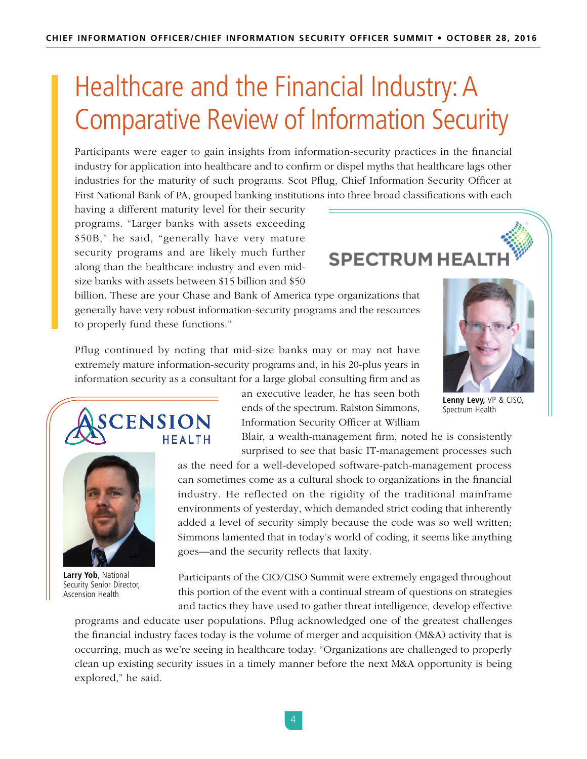# Healthcare and the Financial Industry: A Comparative Review of Information Security

Participants were eager to gain insights from information-security practices in the financial industry for application into healthcare and to confirm or dispel myths that healthcare lags other industries for the maturity of such programs. Scot Pflug, Chief Information Security Officer at First National Bank of PA, grouped banking institutions into three broad classifications with each

having a different maturity level for their security programs. "Larger banks with assets exceeding \$50B," he said, "generally have very mature security programs and are likely much further along than the healthcare industry and even midsize banks with assets between \$15 billion and \$50

## **SPECTRUM HEALT**

billion. These are your Chase and Bank of America type organizations that generally have very robust information-security programs and the resources to properly fund these functions."

Pflug continued by noting that mid-size banks may or may not have extremely mature information-security programs and, in his 20-plus years in information security as a consultant for a large global consulting firm and as



#### **Lenny Levy,** VP & CISO, Spectrum Health

### CENSION **HEALTH**



**Larry Yob**, National Security Senior Director, Ascension Health

an executive leader, he has seen both ends of the spectrum. Ralston Simmons, Information Security Officer at William

Blair, a wealth-management firm, noted he is consistently surprised to see that basic IT-management processes such

as the need for a well-developed software-patch-management process can sometimes come as a cultural shock to organizations in the financial industry. He reflected on the rigidity of the traditional mainframe environments of yesterday, which demanded strict coding that inherently added a level of security simply because the code was so well written; Simmons lamented that in today's world of coding, it seems like anything goes—and the security reflects that laxity.

Participants of the CIO/CISO Summit were extremely engaged throughout this portion of the event with a continual stream of questions on strategies and tactics they have used to gather threat intelligence, develop effective

programs and educate user populations. Pflug acknowledged one of the greatest challenges the financial industry faces today is the volume of merger and acquisition (M&A) activity that is occurring, much as we're seeing in healthcare today. "Organizations are challenged to properly clean up existing security issues in a timely manner before the next M&A opportunity is being explored," he said.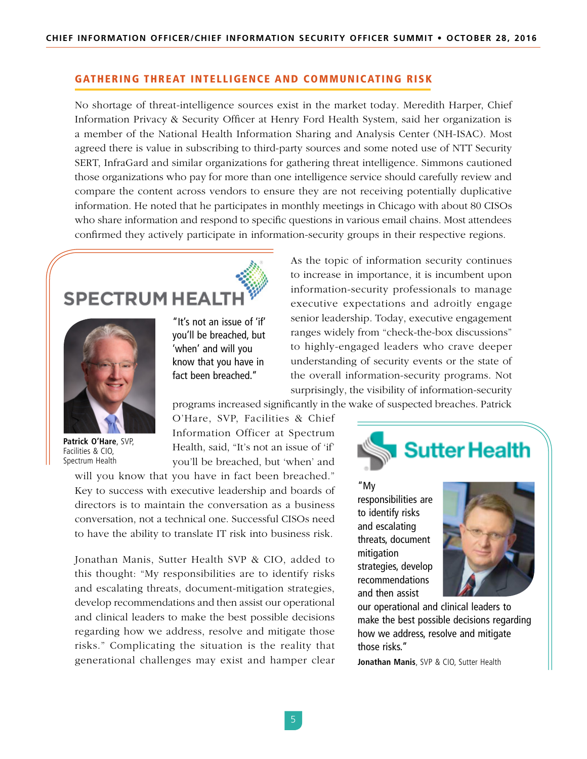### GATHERING THREAT INTELLIGENCE AND COMMUNICATING RISK

No shortage of threat-intelligence sources exist in the market today. Meredith Harper, Chief Information Privacy & Security Officer at Henry Ford Health System, said her organization is a member of the National Health Information Sharing and Analysis Center (NH-ISAC). Most agreed there is value in subscribing to third-party sources and some noted use of NTT Security SERT, InfraGard and similar organizations for gathering threat intelligence. Simmons cautioned those organizations who pay for more than one intelligence service should carefully review and compare the content across vendors to ensure they are not receiving potentially duplicative information. He noted that he participates in monthly meetings in Chicago with about 80 CISOs who share information and respond to specific questions in various email chains. Most attendees confirmed they actively participate in information-security groups in their respective regions.

### **SPECTRUM HEALT**



**Patrick O'Hare**, SVP, Facilities & CIO, Spectrum Health

"It's not an issue of 'if' you'll be breached, but 'when' and will you know that you have in fact been breached."

As the topic of information security continues to increase in importance, it is incumbent upon information-security professionals to manage executive expectations and adroitly engage senior leadership. Today, executive engagement ranges widely from "check-the-box discussions" to highly-engaged leaders who crave deeper understanding of security events or the state of the overall information-security programs. Not surprisingly, the visibility of information-security

programs increased significantly in the wake of suspected breaches. Patrick

O'Hare, SVP, Facilities & Chief Information Officer at Spectrum Health, said, "It's not an issue of 'if' you'll be breached, but 'when' and

will you know that you have in fact been breached." Key to success with executive leadership and boards of directors is to maintain the conversation as a business conversation, not a technical one. Successful CISOs need to have the ability to translate IT risk into business risk.

Jonathan Manis, Sutter Health SVP & CIO, added to this thought: "My responsibilities are to identify risks and escalating threats, document-mitigation strategies, develop recommendations and then assist our operational and clinical leaders to make the best possible decisions regarding how we address, resolve and mitigate those risks." Complicating the situation is the reality that generational challenges may exist and hamper clear



"My responsibilities are to identify risks and escalating threats, document mitigation strategies, develop recommendations and then assist



our operational and clinical leaders to make the best possible decisions regarding how we address, resolve and mitigate those risks."

**Jonathan Manis**, SVP & CIO, Sutter Health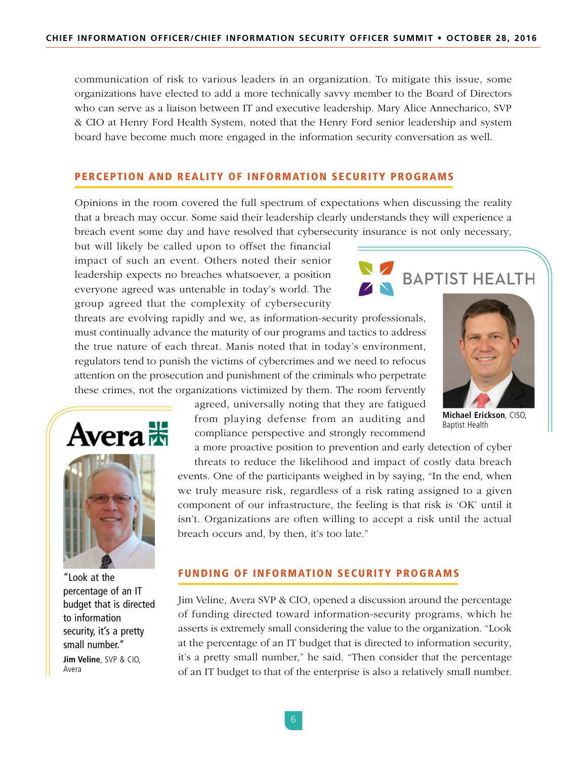communication of risk to various leaders in an organization. To mitigate this issue, some organizations have elected to add a more technically savvy member to the Board of Directors who can serve as a liaison between IT and executive leadership. Mary Alice Annecharico, SVP & CIO at Henry Ford Health System, noted that the Henry Ford senior leadership and system board have become much more engaged in the information security conversation as well.

### PERCEPTION AND REALITY OF INFORMATION SECURITY PROGRAMS

Opinions in the room covered the full spectrum of expectations when discussing the reality that a breach may occur. Some said their leadership clearly understands they will experience a breach event some day and have resolved that cybersecurity insurance is not only necessary,

but will likely be called upon to offset the financial impact of such an event. Others noted their senior leadership expects no breaches whatsoever, a position everyone agreed was untenable in today's world. The group agreed that the complexity of cybersecurity

threats are evolving rapidly and we, as information-security professionals, must continually advance the maturity of our programs and tactics to address the true nature of each threat. Manis noted that in today's environment, regulators tend to punish the victims of cybercrimes and we need to refocus attention on the prosecution and punishment of the criminals who perpetrate these crimes, not the organizations victimized by them. The room fervently

> agreed, universally noting that they are fatigued from playing defense from an auditing and compliance perspective and strongly recommend

a more proactive position to prevention and early detection of cyber threats to reduce the likelihood and impact of costly data breach events. One of the participants weighed in by saying, "In the end, when we truly measure risk, regardless of a risk rating assigned to a given component of our infrastructure, the feeling is that risk is 'OK' until it isn't. Organizations are often willing to accept a risk until the actual breach occurs and, by then, it's too late."

#### FUNDING OF INFORMATION SECURITY PROGRAMS

Jim Veline, Avera SVP & CIO, opened a discussion around the percentage of funding directed toward information-security programs, which he asserts is extremely small considering the value to the organization. "Look at the percentage of an IT budget that is directed to information security, it's a pretty small number," he said. "Then consider that the percentage of an IT budget to that of the enterprise is also a relatively small number.



budget that is directed to information security, it's a pretty small number." **Jim Veline**, SVP & CIO, Avera



**BAPTIST HEALTH** 

**Michael Erickson**, CISO, Baptist Health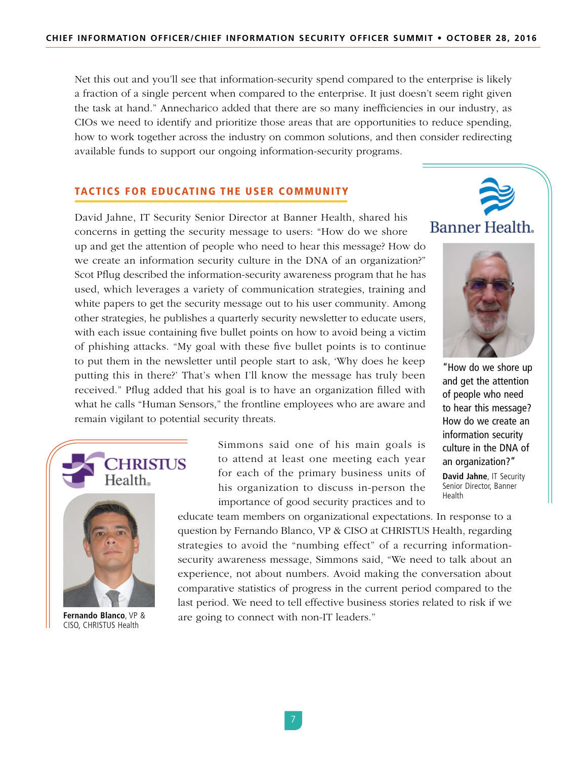Net this out and you'll see that information-security spend compared to the enterprise is likely a fraction of a single percent when compared to the enterprise. It just doesn't seem right given the task at hand." Annecharico added that there are so many inefficiencies in our industry, as CIOs we need to identify and prioritize those areas that are opportunities to reduce spending, how to work together across the industry on common solutions, and then consider redirecting available funds to support our ongoing information-security programs.

### TACTICS FOR EDUCATING THE USER COMMUNITY

David Jahne, IT Security Senior Director at Banner Health, shared his concerns in getting the security message to users: "How do we shore up and get the attention of people who need to hear this message? How do we create an information security culture in the DNA of an organization?" Scot Pflug described the information-security awareness program that he has used, which leverages a variety of communication strategies, training and white papers to get the security message out to his user community. Among other strategies, he publishes a quarterly security newsletter to educate users, with each issue containing five bullet points on how to avoid being a victim of phishing attacks. "My goal with these five bullet points is to continue to put them in the newsletter until people start to ask, 'Why does he keep putting this in there?' That's when I'll know the message has truly been received." Pflug added that his goal is to have an organization filled with what he calls "Human Sensors," the frontline employees who are aware and remain vigilant to potential security threats.





"How do we shore up and get the attention of people who need to hear this message? How do we create an information security culture in the DNA of an organization?"

**David Jahne**, IT Security Senior Director, Banner Health



**Fernando Blanco**, VP & CISO, CHRISTUS Health

Simmons said one of his main goals is to attend at least one meeting each year for each of the primary business units of his organization to discuss in-person the importance of good security practices and to

educate team members on organizational expectations. In response to a question by Fernando Blanco, VP & CISO at CHRISTUS Health, regarding strategies to avoid the "numbing effect" of a recurring informationsecurity awareness message, Simmons said, "We need to talk about an experience, not about numbers. Avoid making the conversation about comparative statistics of progress in the current period compared to the last period. We need to tell effective business stories related to risk if we are going to connect with non-IT leaders."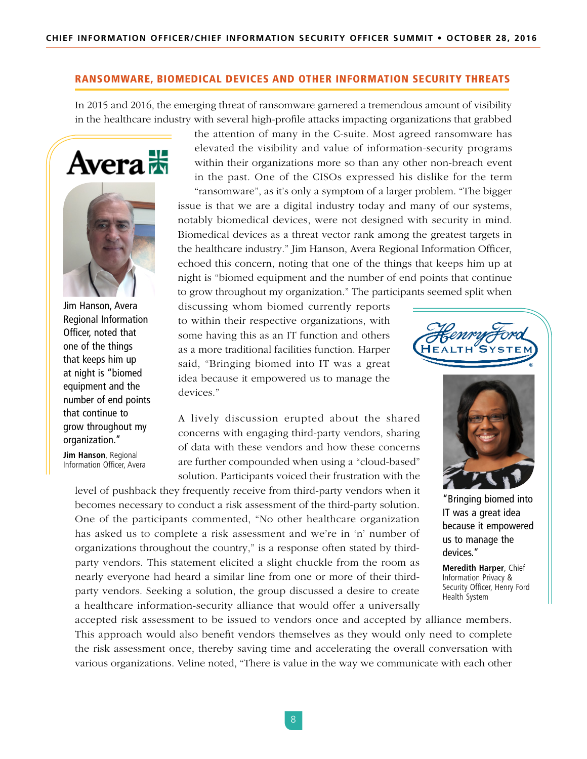### RANSOMWARE, BIOMEDICAL DEVICES AND OTHER INFORMATION SECURITY THREATS

In 2015 and 2016, the emerging threat of ransomware garnered a tremendous amount of visibility in the healthcare industry with several high-profile attacks impacting organizations that grabbed



Jim Hanson, Avera Regional Information Officer, noted that one of the things that keeps him up at night is "biomed equipment and the number of end points that continue to grow throughout my organization."

**Jim Hanson**, Regional Information Officer, Avera

the attention of many in the C-suite. Most agreed ransomware has elevated the visibility and value of information-security programs within their organizations more so than any other non-breach event in the past. One of the CISOs expressed his dislike for the term "ransomware", as it's only a symptom of a larger problem. "The bigger issue is that we are a digital industry today and many of our systems, notably biomedical devices, were not designed with security in mind. Biomedical devices as a threat vector rank among the greatest targets in the healthcare industry." Jim Hanson, Avera Regional Information Officer, echoed this concern, noting that one of the things that keeps him up at night is "biomed equipment and the number of end points that continue to grow throughout my organization." The participants seemed split when

discussing whom biomed currently reports to within their respective organizations, with some having this as an IT function and others as a more traditional facilities function. Harper said, "Bringing biomed into IT was a great idea because it empowered us to manage the devices."

A lively discussion erupted about the shared concerns with engaging third-party vendors, sharing of data with these vendors and how these concerns are further compounded when using a "cloud-based" solution. Participants voiced their frustration with the

level of pushback they frequently receive from third-party vendors when it becomes necessary to conduct a risk assessment of the third-party solution. One of the participants commented, "No other healthcare organization has asked us to complete a risk assessment and we're in 'n' number of organizations throughout the country," is a response often stated by thirdparty vendors. This statement elicited a slight chuckle from the room as nearly everyone had heard a similar line from one or more of their thirdparty vendors. Seeking a solution, the group discussed a desire to create a healthcare information-security alliance that would offer a universally





"Bringing biomed into IT was a great idea because it empowered us to manage the devices."

**Meredith Harper**, Chief Information Privacy & Security Officer, Henry Ford Health System

accepted risk assessment to be issued to vendors once and accepted by alliance members. This approach would also benefit vendors themselves as they would only need to complete the risk assessment once, thereby saving time and accelerating the overall conversation with various organizations. Veline noted, "There is value in the way we communicate with each other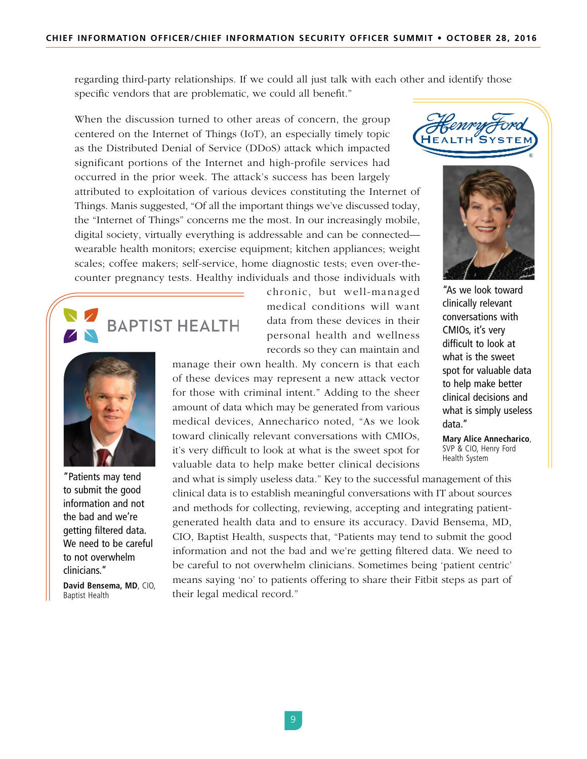regarding third-party relationships. If we could all just talk with each other and identify those specific vendors that are problematic, we could all benefit."

When the discussion turned to other areas of concern, the group centered on the Internet of Things (IoT), an especially timely topic as the Distributed Denial of Service (DDoS) attack which impacted significant portions of the Internet and high-profile services had occurred in the prior week. The attack's success has been largely attributed to exploitation of various devices constituting the Internet of Things. Manis suggested, "Of all the important things we've discussed today, the "Internet of Things" concerns me the most. In our increasingly mobile, digital society, virtually everything is addressable and can be connected wearable health monitors; exercise equipment; kitchen appliances; weight scales; coffee makers; self-service, home diagnostic tests; even over-thecounter pregnancy tests. Healthy individuals and those individuals with



"Patients may tend to submit the good information and not the bad and we're getting filtered data. We need to be careful to not overwhelm clinicians."

**David Bensema, MD**, CIO, Baptist Health

manage their own health. My concern is that each of these devices may represent a new attack vector for those with criminal intent." Adding to the sheer amount of data which may be generated from various medical devices, Annecharico noted, "As we look toward clinically relevant conversations with CMIOs, it's very difficult to look at what is the sweet spot for valuable data to help make better clinical decisions

and what is simply useless data." Key to the successful management of this clinical data is to establish meaningful conversations with IT about sources and methods for collecting, reviewing, accepting and integrating patientgenerated health data and to ensure its accuracy. David Bensema, MD, CIO, Baptist Health, suspects that, "Patients may tend to submit the good information and not the bad and we're getting filtered data. We need to be careful to not overwhelm clinicians. Sometimes being 'patient centric' means saying 'no' to patients offering to share their Fitbit steps as part of their legal medical record."





"As we look toward clinically relevant conversations with CMIOs, it's very difficult to look at what is the sweet spot for valuable data to help make better clinical decisions and what is simply useless data."

**Mary Alice Annecharico**, SVP & CIO, Henry Ford Health System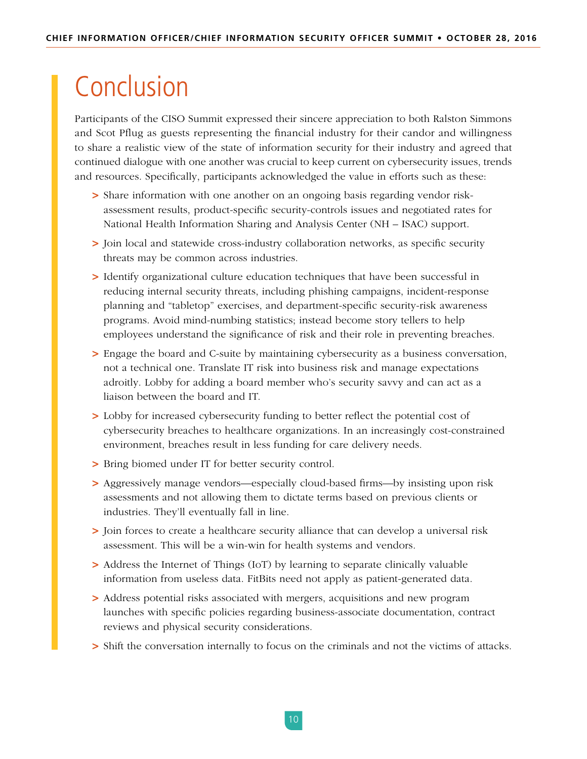## Conclusion

Participants of the CISO Summit expressed their sincere appreciation to both Ralston Simmons and Scot Pflug as guests representing the financial industry for their candor and willingness to share a realistic view of the state of information security for their industry and agreed that continued dialogue with one another was crucial to keep current on cybersecurity issues, trends and resources. Specifically, participants acknowledged the value in efforts such as these:

- **>** Share information with one another on an ongoing basis regarding vendor riskassessment results, product-specific security-controls issues and negotiated rates for National Health Information Sharing and Analysis Center (NH – ISAC) support.
- **>** Join local and statewide cross-industry collaboration networks, as specific security threats may be common across industries.
- **>** Identify organizational culture education techniques that have been successful in reducing internal security threats, including phishing campaigns, incident-response planning and "tabletop" exercises, and department-specific security-risk awareness programs. Avoid mind-numbing statistics; instead become story tellers to help employees understand the significance of risk and their role in preventing breaches.
- **>** Engage the board and C-suite by maintaining cybersecurity as a business conversation, not a technical one. Translate IT risk into business risk and manage expectations adroitly. Lobby for adding a board member who's security savvy and can act as a liaison between the board and IT.
- **>** Lobby for increased cybersecurity funding to better reflect the potential cost of cybersecurity breaches to healthcare organizations. In an increasingly cost-constrained environment, breaches result in less funding for care delivery needs.
- **>** Bring biomed under IT for better security control.
- **>** Aggressively manage vendors—especially cloud-based firms—by insisting upon risk assessments and not allowing them to dictate terms based on previous clients or industries. They'll eventually fall in line.
- **>** Join forces to create a healthcare security alliance that can develop a universal risk assessment. This will be a win-win for health systems and vendors.
- **>** Address the Internet of Things (IoT) by learning to separate clinically valuable information from useless data. FitBits need not apply as patient-generated data.
- **>** Address potential risks associated with mergers, acquisitions and new program launches with specific policies regarding business-associate documentation, contract reviews and physical security considerations.
- **>** Shift the conversation internally to focus on the criminals and not the victims of attacks.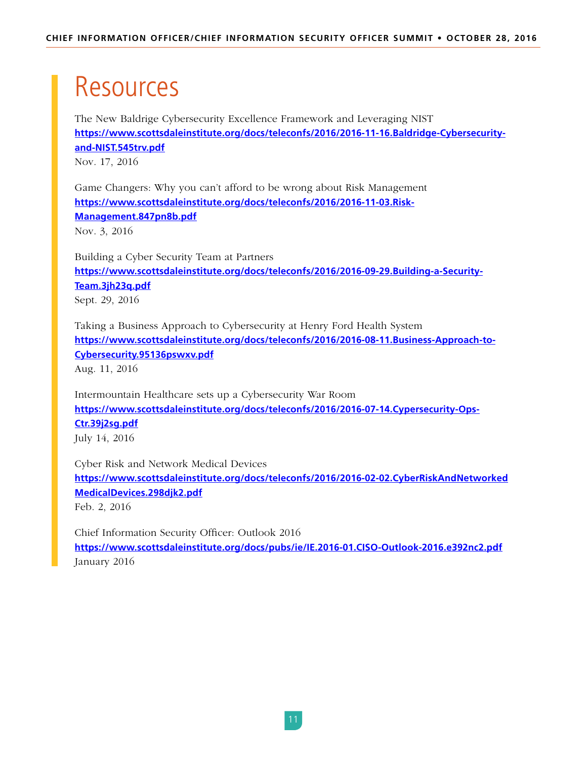## Resources

The New Baldrige Cybersecurity Excellence Framework and Leveraging NIST **[https://www.scottsdaleinstitute.org/docs/teleconfs/2016/2016-11-16.Baldridge-Cybersecurity](https://www.scottsdaleinstitute.org/docs/teleconfs/2016/2016-11-16.Baldridge-Cybersecurity-and-NIST.545trv.pdf)[and-NIST.545trv.pdf](https://www.scottsdaleinstitute.org/docs/teleconfs/2016/2016-11-16.Baldridge-Cybersecurity-and-NIST.545trv.pdf)** Nov. 17, 2016

Game Changers: Why you can't afford to be wrong about Risk Management **[https://www.scottsdaleinstitute.org/docs/teleconfs/2016/2016-11-03.Risk-](https://www.scottsdaleinstitute.org/docs/teleconfs/2016/2016-11-03.Risk-Management.847pn8b.pdf)[Management.847pn8b.pdf](https://www.scottsdaleinstitute.org/docs/teleconfs/2016/2016-11-03.Risk-Management.847pn8b.pdf)** Nov. 3, 2016

Building a Cyber Security Team at Partners **[https://www.scottsdaleinstitute.org/docs/teleconfs/2016/2016-09-29.Building-a-Security-](https://www.scottsdaleinstitute.org/docs/teleconfs/2016/2016-09-29.Building-a-Security-Team.3jh23q.pdf)[Team.3jh23q.pdf](https://www.scottsdaleinstitute.org/docs/teleconfs/2016/2016-09-29.Building-a-Security-Team.3jh23q.pdf)** Sept. 29, 2016

Taking a Business Approach to Cybersecurity at Henry Ford Health System **[https://www.scottsdaleinstitute.org/docs/teleconfs/2016/2016-08-11.Business-Approach-to-](https://www.scottsdaleinstitute.org/docs/teleconfs/2016/2016-08-11.Business-Approach-to-Cybersecurity.95136pswxv.pdf)[Cybersecurity.95136pswxv.pdf](https://www.scottsdaleinstitute.org/docs/teleconfs/2016/2016-08-11.Business-Approach-to-Cybersecurity.95136pswxv.pdf)** Aug. 11, 2016

Intermountain Healthcare sets up a Cybersecurity War Room **[https://www.scottsdaleinstitute.org/docs/teleconfs/2016/2016-07-14.Cypersecurity-Ops-](https://www.scottsdaleinstitute.org/docs/teleconfs/2016/2016-07-14.Cypersecurity-Ops-Ctr.39j2sg.pdf)[Ctr.39j2sg.pdf](https://www.scottsdaleinstitute.org/docs/teleconfs/2016/2016-07-14.Cypersecurity-Ops-Ctr.39j2sg.pdf)** July 14, 2016

Cyber Risk and Network Medical Devices **[https://www.scottsdaleinstitute.org/docs/teleconfs/2016/2016-02-02.CyberRiskAndNetworked](https://www.scottsdaleinstitute.org/docs/teleconfs/2016/2016-02-02.CyberRiskAndNetworkedMedicalDevices.298djk2.pdf) [MedicalDevices.298djk2.pdf](https://www.scottsdaleinstitute.org/docs/teleconfs/2016/2016-02-02.CyberRiskAndNetworkedMedicalDevices.298djk2.pdf)** Feb. 2, 2016

Chief Information Security Officer: Outlook 2016 **<https://www.scottsdaleinstitute.org/docs/pubs/ie/IE.2016-01.CISO-Outlook-2016.e392nc2.pdf>** January 2016